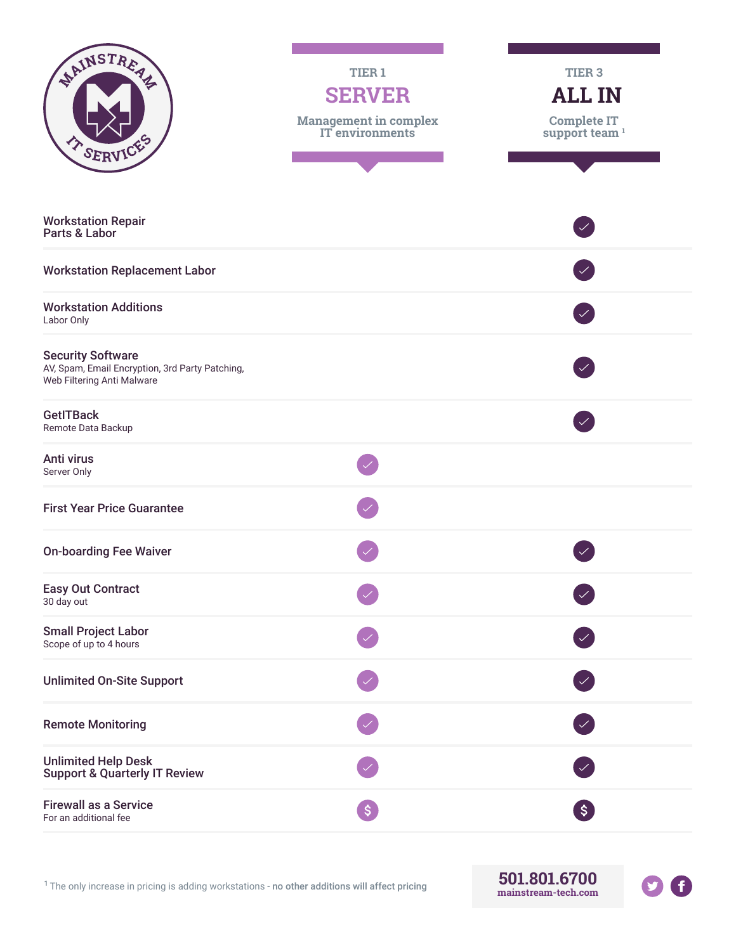| NAINSTREAM<br>T SERVICE                                                                                   | TIER <sub>1</sub><br><b>SERVER</b><br><b>Management in complex</b><br>IT environments | TIER <sub>3</sub><br><b>ALL IN</b><br><b>Complete IT</b><br>support team $1$ |
|-----------------------------------------------------------------------------------------------------------|---------------------------------------------------------------------------------------|------------------------------------------------------------------------------|
| <b>Workstation Repair</b><br>Parts & Labor                                                                |                                                                                       |                                                                              |
| <b>Workstation Replacement Labor</b>                                                                      |                                                                                       |                                                                              |
| <b>Workstation Additions</b><br>Labor Only                                                                |                                                                                       |                                                                              |
| <b>Security Software</b><br>AV, Spam, Email Encryption, 3rd Party Patching,<br>Web Filtering Anti Malware |                                                                                       |                                                                              |
| <b>GetITBack</b><br>Remote Data Backup                                                                    |                                                                                       |                                                                              |
| Anti virus<br>Server Only                                                                                 |                                                                                       |                                                                              |
| <b>First Year Price Guarantee</b>                                                                         |                                                                                       |                                                                              |
| <b>On-boarding Fee Waiver</b>                                                                             |                                                                                       |                                                                              |
| <b>Easy Out Contract</b><br>30 day out                                                                    |                                                                                       |                                                                              |
| <b>Small Project Labor</b><br>Scope of up to 4 hours                                                      |                                                                                       |                                                                              |
| <b>Unlimited On-Site Support</b>                                                                          |                                                                                       |                                                                              |
| <b>Remote Monitoring</b>                                                                                  |                                                                                       |                                                                              |
| <b>Unlimited Help Desk</b><br><b>Support &amp; Quarterly IT Review</b>                                    |                                                                                       |                                                                              |
| <b>Firewall as a Service</b><br>For an additional fee                                                     | $\left  \xi \right $                                                                  | $\left[ \texttt{S}\right]$                                                   |

<sup>1</sup>The only increase in pricing is adding workstations - no other additions will affect pricing **501.801.6700**

**mainstream-tech.com**